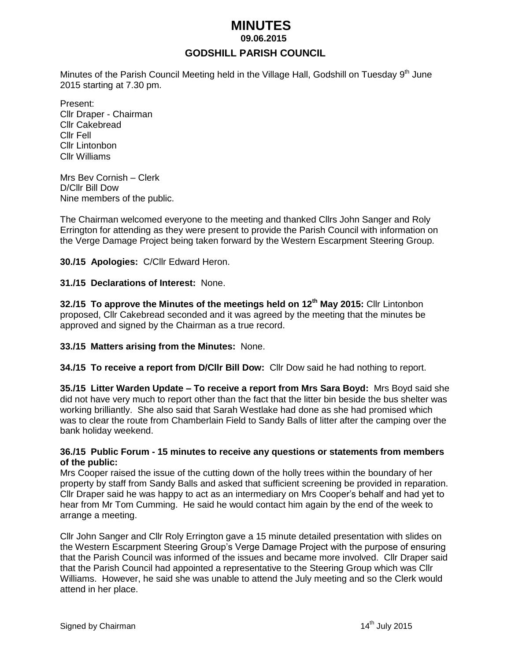# *MINUTES*

 **09.06.2015**

# **GODSHILL PARISH COUNCIL**

Minutes of the Parish Council Meeting held in the Village Hall, Godshill on Tuesday 9<sup>th</sup> June 2015 starting at 7.30 pm.

Present: Cllr Draper - Chairman Cllr Cakebread Cllr Fell Cllr Lintonbon Cllr Williams

Mrs Bev Cornish – Clerk D/Cllr Bill Dow Nine members of the public.

The Chairman welcomed everyone to the meeting and thanked Cllrs John Sanger and Roly Errington for attending as they were present to provide the Parish Council with information on the Verge Damage Project being taken forward by the Western Escarpment Steering Group.

**30./15 Apologies:** C/Cllr Edward Heron.

#### **31./15 Declarations of Interest:** None.

**32./15 To approve the Minutes of the meetings held on 12 th May 2015:** Cllr Lintonbon proposed, Cllr Cakebread seconded and it was agreed by the meeting that the minutes be approved and signed by the Chairman as a true record.

#### **33./15 Matters arising from the Minutes:** None.

**34./15 To receive a report from D/Cllr Bill Dow:** Cllr Dow said he had nothing to report.

**35./15 Litter Warden Update – To receive a report from Mrs Sara Boyd:** Mrs Boyd said she did not have very much to report other than the fact that the litter bin beside the bus shelter was working brilliantly. She also said that Sarah Westlake had done as she had promised which was to clear the route from Chamberlain Field to Sandy Balls of litter after the camping over the bank holiday weekend.

#### **36./15 Public Forum - 15 minutes to receive any questions or statements from members of the public:**

Mrs Cooper raised the issue of the cutting down of the holly trees within the boundary of her property by staff from Sandy Balls and asked that sufficient screening be provided in reparation. Cllr Draper said he was happy to act as an intermediary on Mrs Cooper's behalf and had yet to hear from Mr Tom Cumming. He said he would contact him again by the end of the week to arrange a meeting.

Cllr John Sanger and Cllr Roly Errington gave a 15 minute detailed presentation with slides on the Western Escarpment Steering Group's Verge Damage Project with the purpose of ensuring that the Parish Council was informed of the issues and became more involved. Cllr Draper said that the Parish Council had appointed a representative to the Steering Group which was Cllr Williams. However, he said she was unable to attend the July meeting and so the Clerk would attend in her place.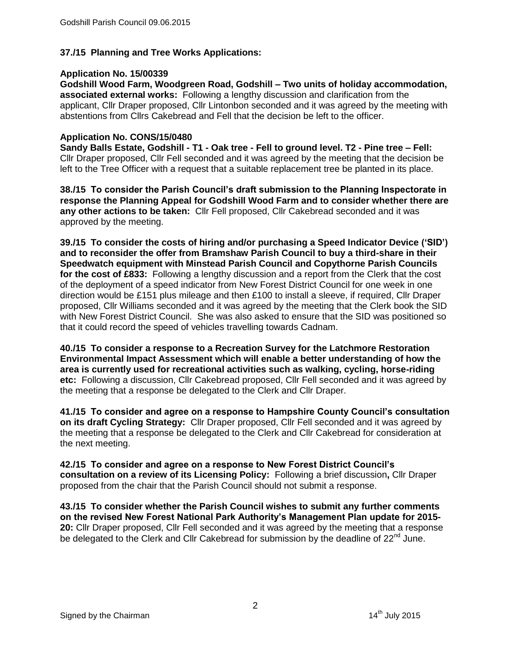# **37./15 Planning and Tree Works Applications:**

## **Application No. 15/00339**

**Godshill Wood Farm, Woodgreen Road, Godshill – Two units of holiday accommodation, associated external works:** Following a lengthy discussion and clarification from the applicant, Cllr Draper proposed, Cllr Lintonbon seconded and it was agreed by the meeting with abstentions from Cllrs Cakebread and Fell that the decision be left to the officer.

## **Application No. CONS/15/0480**

**Sandy Balls Estate, Godshill - T1 - Oak tree - Fell to ground level. T2 - Pine tree – Fell:**  Cllr Draper proposed, Cllr Fell seconded and it was agreed by the meeting that the decision be left to the Tree Officer with a request that a suitable replacement tree be planted in its place.

**38./15 To consider the Parish Council's draft submission to the Planning Inspectorate in response the Planning Appeal for Godshill Wood Farm and to consider whether there are any other actions to be taken:** Cllr Fell proposed, Cllr Cakebread seconded and it was approved by the meeting.

**39./15 To consider the costs of hiring and/or purchasing a Speed Indicator Device ('SID') and to reconsider the offer from Bramshaw Parish Council to buy a third-share in their Speedwatch equipment with Minstead Parish Council and Copythorne Parish Councils for the cost of £833:** Following a lengthy discussion and a report from the Clerk that the cost of the deployment of a speed indicator from New Forest District Council for one week in one direction would be £151 plus mileage and then £100 to install a sleeve, if required, Cllr Draper proposed, Cllr Williams seconded and it was agreed by the meeting that the Clerk book the SID with New Forest District Council. She was also asked to ensure that the SID was positioned so that it could record the speed of vehicles travelling towards Cadnam.

**40./15 To consider a response to a Recreation Survey for the Latchmore Restoration Environmental Impact Assessment which will enable a better understanding of how the area is currently used for recreational activities such as walking, cycling, horse-riding etc:** Following a discussion, Cllr Cakebread proposed, Cllr Fell seconded and it was agreed by the meeting that a response be delegated to the Clerk and Cllr Draper.

**41./15 To consider and agree on a response to Hampshire County Council's consultation on its draft Cycling Strategy:** Cllr Draper proposed, Cllr Fell seconded and it was agreed by the meeting that a response be delegated to the Clerk and Cllr Cakebread for consideration at the next meeting.

**42./15 To consider and agree on a response to New Forest District Council's consultation on a review of its Licensing Policy:** Following a brief discussion**,** Cllr Draper proposed from the chair that the Parish Council should not submit a response.

**43./15 To consider whether the Parish Council wishes to submit any further comments on the revised New Forest National Park Authority's Management Plan update for 2015- 20:** Cllr Draper proposed, Cllr Fell seconded and it was agreed by the meeting that a response be delegated to the Clerk and Cllr Cakebread for submission by the deadline of 22<sup>nd</sup> June.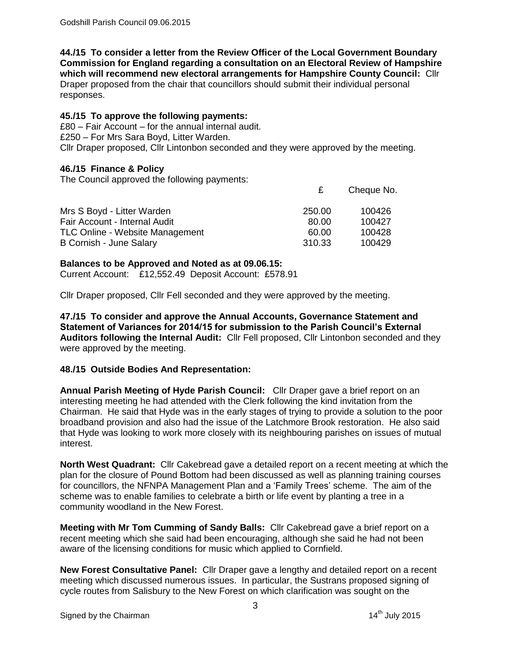**44./15 To consider a letter from the Review Officer of the Local Government Boundary Commission for England regarding a consultation on an Electoral Review of Hampshire which will recommend new electoral arrangements for Hampshire County Council:** Cllr Draper proposed from the chair that councillors should submit their individual personal responses.

## **45./15 To approve the following payments:**

£80 – Fair Account – for the annual internal audit. £250 – For Mrs Sara Boyd, Litter Warden. Cllr Draper proposed, Cllr Lintonbon seconded and they were approved by the meeting.

# **46./15 Finance & Policy**

The Council approved the following payments:

|                                        |        | Cheque No. |
|----------------------------------------|--------|------------|
| Mrs S Boyd - Litter Warden             | 250.00 | 100426     |
| Fair Account - Internal Audit          | 80.00  | 100427     |
| <b>TLC Online - Website Management</b> | 60.00  | 100428     |
| B Cornish - June Salary                | 310.33 | 100429     |

## **Balances to be Approved and Noted as at 09.06.15:**

Current Account: £12,552.49 Deposit Account: £578.91

Cllr Draper proposed, Cllr Fell seconded and they were approved by the meeting.

**47./15 To consider and approve the Annual Accounts, Governance Statement and Statement of Variances for 2014/15 for submission to the Parish Council's External Auditors following the Internal Audit:** Cllr Fell proposed, Cllr Lintonbon seconded and they were approved by the meeting.

## **48./15 Outside Bodies And Representation:**

**Annual Parish Meeting of Hyde Parish Council:** Cllr Draper gave a brief report on an interesting meeting he had attended with the Clerk following the kind invitation from the Chairman. He said that Hyde was in the early stages of trying to provide a solution to the poor broadband provision and also had the issue of the Latchmore Brook restoration. He also said that Hyde was looking to work more closely with its neighbouring parishes on issues of mutual interest.

**North West Quadrant:** Cllr Cakebread gave a detailed report on a recent meeting at which the plan for the closure of Pound Bottom had been discussed as well as planning training courses for councillors, the NFNPA Management Plan and a 'Family Trees' scheme. The aim of the scheme was to enable families to celebrate a birth or life event by planting a tree in a community woodland in the New Forest.

**Meeting with Mr Tom Cumming of Sandy Balls:** Cllr Cakebread gave a brief report on a recent meeting which she said had been encouraging, although she said he had not been aware of the licensing conditions for music which applied to Cornfield.

**New Forest Consultative Panel:** Cllr Draper gave a lengthy and detailed report on a recent meeting which discussed numerous issues. In particular, the Sustrans proposed signing of cycle routes from Salisbury to the New Forest on which clarification was sought on the